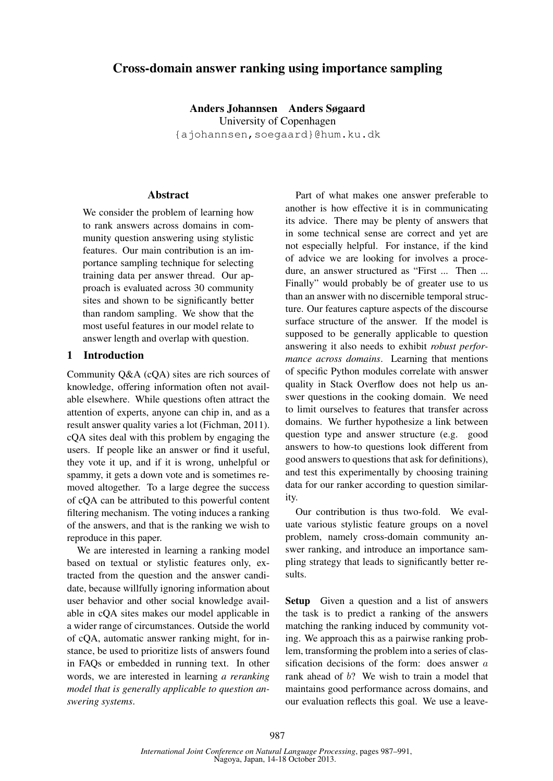# Cross-domain answer ranking using importance sampling

Anders Johannsen Anders Søgaard University of Copenhagen {ajohannsen,soegaard}@hum.ku.dk

#### Abstract

We consider the problem of learning how to rank answers across domains in community question answering using stylistic features. Our main contribution is an importance sampling technique for selecting training data per answer thread. Our approach is evaluated across 30 community sites and shown to be significantly better than random sampling. We show that the most useful features in our model relate to answer length and overlap with question.

### 1 Introduction

Community Q&A (cQA) sites are rich sources of knowledge, offering information often not available elsewhere. While questions often attract the attention of experts, anyone can chip in, and as a result answer quality varies a lot (Fichman, 2011). cQA sites deal with this problem by engaging the users. If people like an answer or find it useful, they vote it up, and if it is wrong, unhelpful or spammy, it gets a down vote and is sometimes removed altogether. To a large degree the success of cQA can be attributed to this powerful content filtering mechanism. The voting induces a ranking of the answers, and that is the ranking we wish to reproduce in this paper.

We are interested in learning a ranking model based on textual or stylistic features only, extracted from the question and the answer candidate, because willfully ignoring information about user behavior and other social knowledge available in cQA sites makes our model applicable in a wider range of circumstances. Outside the world of cQA, automatic answer ranking might, for instance, be used to prioritize lists of answers found in FAQs or embedded in running text. In other words, we are interested in learning *a reranking model that is generally applicable to question answering systems*.

Part of what makes one answer preferable to another is how effective it is in communicating its advice. There may be plenty of answers that in some technical sense are correct and yet are not especially helpful. For instance, if the kind of advice we are looking for involves a procedure, an answer structured as "First ... Then ... Finally" would probably be of greater use to us than an answer with no discernible temporal structure. Our features capture aspects of the discourse surface structure of the answer. If the model is supposed to be generally applicable to question answering it also needs to exhibit *robust performance across domains*. Learning that mentions of specific Python modules correlate with answer quality in Stack Overflow does not help us answer questions in the cooking domain. We need to limit ourselves to features that transfer across domains. We further hypothesize a link between question type and answer structure (e.g. good answers to how-to questions look different from good answers to questions that ask for definitions), and test this experimentally by choosing training data for our ranker according to question similarity.

Our contribution is thus two-fold. We evaluate various stylistic feature groups on a novel problem, namely cross-domain community answer ranking, and introduce an importance sampling strategy that leads to significantly better results.

Setup Given a question and a list of answers the task is to predict a ranking of the answers matching the ranking induced by community voting. We approach this as a pairwise ranking problem, transforming the problem into a series of classification decisions of the form: does answer *a* rank ahead of *b*? We wish to train a model that maintains good performance across domains, and our evaluation reflects this goal. We use a leave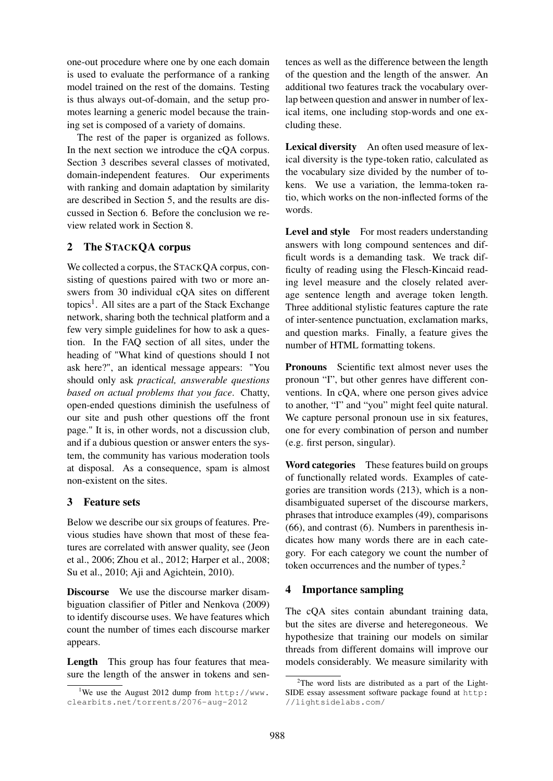one-out procedure where one by one each domain is used to evaluate the performance of a ranking model trained on the rest of the domains. Testing is thus always out-of-domain, and the setup promotes learning a generic model because the training set is composed of a variety of domains.

The rest of the paper is organized as follows. In the next section we introduce the cQA corpus. Section 3 describes several classes of motivated, domain-independent features. Our experiments with ranking and domain adaptation by similarity are described in Section 5, and the results are discussed in Section 6. Before the conclusion we review related work in Section 8.

## 2 The STACKQA corpus

We collected a corpus, the STACKQA corpus, consisting of questions paired with two or more answers from 30 individual cQA sites on different topics<sup>1</sup>. All sites are a part of the Stack Exchange network, sharing both the technical platform and a few very simple guidelines for how to ask a question. In the FAQ section of all sites, under the heading of "What kind of questions should I not ask here?", an identical message appears: "You should only ask *practical, answerable questions based on actual problems that you face*. Chatty, open-ended questions diminish the usefulness of our site and push other questions off the front page." It is, in other words, not a discussion club, and if a dubious question or answer enters the system, the community has various moderation tools at disposal. As a consequence, spam is almost non-existent on the sites.

# 3 Feature sets

Below we describe our six groups of features. Previous studies have shown that most of these features are correlated with answer quality, see (Jeon et al., 2006; Zhou et al., 2012; Harper et al., 2008; Su et al., 2010; Aji and Agichtein, 2010).

Discourse We use the discourse marker disambiguation classifier of Pitler and Nenkova (2009) to identify discourse uses. We have features which count the number of times each discourse marker appears.

Length This group has four features that measure the length of the answer in tokens and sentences as well as the difference between the length of the question and the length of the answer. An additional two features track the vocabulary overlap between question and answer in number of lexical items, one including stop-words and one excluding these.

Lexical diversity An often used measure of lexical diversity is the type-token ratio, calculated as the vocabulary size divided by the number of tokens. We use a variation, the lemma-token ratio, which works on the non-inflected forms of the words.

Level and style For most readers understanding answers with long compound sentences and difficult words is a demanding task. We track difficulty of reading using the Flesch-Kincaid reading level measure and the closely related average sentence length and average token length. Three additional stylistic features capture the rate of inter-sentence punctuation, exclamation marks, and question marks. Finally, a feature gives the number of HTML formatting tokens.

Pronouns Scientific text almost never uses the pronoun "I", but other genres have different conventions. In cQA, where one person gives advice to another, "I" and "you" might feel quite natural. We capture personal pronoun use in six features, one for every combination of person and number (e.g. first person, singular).

Word categories These features build on groups of functionally related words. Examples of categories are transition words (213), which is a nondisambiguated superset of the discourse markers, phrases that introduce examples (49), comparisons (66), and contrast (6). Numbers in parenthesis indicates how many words there are in each category. For each category we count the number of token occurrences and the number of types.<sup>2</sup>

# 4 Importance sampling

The cQA sites contain abundant training data, but the sites are diverse and heteregoneous. We hypothesize that training our models on similar threads from different domains will improve our models considerably. We measure similarity with

<sup>&</sup>lt;sup>1</sup>We use the August 2012 dump from http://www. clearbits.net/torrents/2076-aug-2012

 $2$ The word lists are distributed as a part of the Light-SIDE essay assessment software package found at http: //lightsidelabs.com/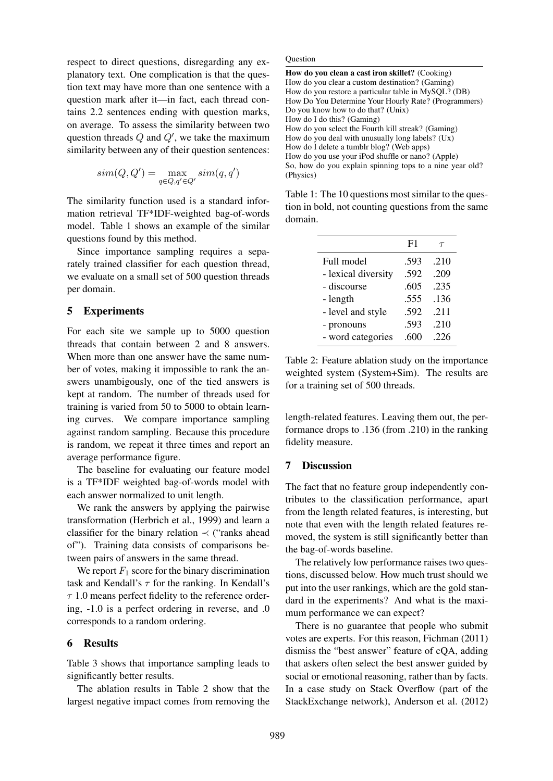respect to direct questions, disregarding any explanatory text. One complication is that the question text may have more than one sentence with a question mark after it—in fact, each thread contains 2.2 sentences ending with question marks, on average. To assess the similarity between two question threads *Q* and *Q′* , we take the maximum similarity between any of their question sentences:

$$
sim(Q, Q') = \max_{q \in Q, q' \in Q'} sim(q, q')
$$

The similarity function used is a standard information retrieval TF\*IDF-weighted bag-of-words model. Table 1 shows an example of the similar questions found by this method.

Since importance sampling requires a separately trained classifier for each question thread, we evaluate on a small set of 500 question threads per domain.

## 5 Experiments

For each site we sample up to 5000 question threads that contain between 2 and 8 answers. When more than one answer have the same number of votes, making it impossible to rank the answers unambigously, one of the tied answers is kept at random. The number of threads used for training is varied from 50 to 5000 to obtain learning curves. We compare importance sampling against random sampling. Because this procedure is random, we repeat it three times and report an average performance figure.

The baseline for evaluating our feature model is a TF\*IDF weighted bag-of-words model with each answer normalized to unit length.

We rank the answers by applying the pairwise transformation (Herbrich et al., 1999) and learn a classifier for the binary relation *≺* ("ranks ahead of"). Training data consists of comparisons between pairs of answers in the same thread.

We report  $F_1$  score for the binary discrimination task and Kendall's *τ* for the ranking. In Kendall's *τ* 1.0 means perfect fidelity to the reference ordering, -1.0 is a perfect ordering in reverse, and .0 corresponds to a random ordering.

### 6 Results

Table 3 shows that importance sampling leads to significantly better results.

The ablation results in Table 2 show that the largest negative impact comes from removing the **Question** 

Table 1: The 10 questions most similar to the question in bold, not counting questions from the same domain.

|                     | F1   | $\tau$ |
|---------------------|------|--------|
| Full model          | .593 | .210   |
| - lexical diversity | .592 | .209   |
| - discourse         | .605 | .235   |
| - length            | .555 | .136   |
| - level and style   | .592 | .211   |
| - pronouns          | .593 | .210   |
| - word categories   | .600 | .226   |

Table 2: Feature ablation study on the importance weighted system (System+Sim). The results are for a training set of 500 threads.

length-related features. Leaving them out, the performance drops to .136 (from .210) in the ranking fidelity measure.

#### 7 Discussion

The fact that no feature group independently contributes to the classification performance, apart from the length related features, is interesting, but note that even with the length related features removed, the system is still significantly better than the bag-of-words baseline.

The relatively low performance raises two questions, discussed below. How much trust should we put into the user rankings, which are the gold standard in the experiments? And what is the maximum performance we can expect?

There is no guarantee that people who submit votes are experts. For this reason, Fichman (2011) dismiss the "best answer" feature of cQA, adding that askers often select the best answer guided by social or emotional reasoning, rather than by facts. In a case study on Stack Overflow (part of the StackExchange network), Anderson et al. (2012)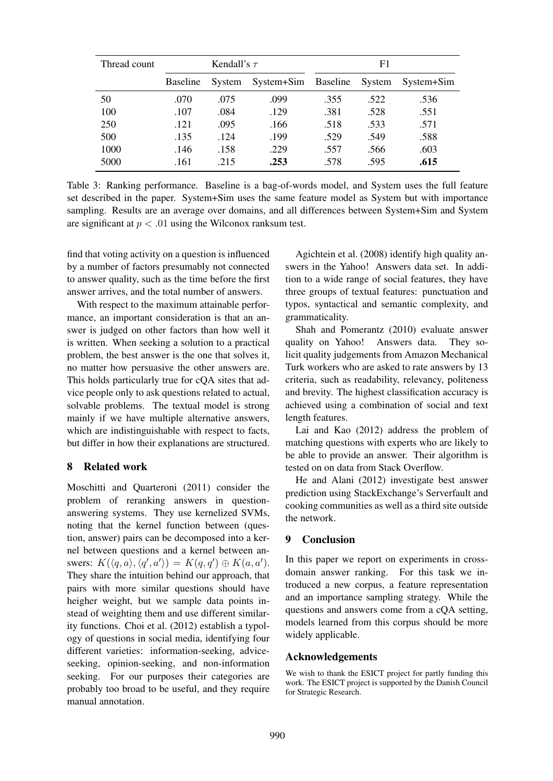| Thread count | Kendall's $\tau$ |        |                     | F1   |        |            |
|--------------|------------------|--------|---------------------|------|--------|------------|
|              | <b>Baseline</b>  | System | System+Sim Baseline |      | System | System+Sim |
| 50           | .070             | .075   | .099                | .355 | .522   | .536       |
| 100          | .107             | .084   | .129                | .381 | .528   | .551       |
| 250          | .121             | .095   | .166                | .518 | .533   | .571       |
| 500          | .135             | .124   | .199                | .529 | .549   | .588       |
| 1000         | .146             | .158   | .229                | .557 | .566   | .603       |
| 5000         | .161             | .215   | .253                | .578 | .595   | .615       |

Table 3: Ranking performance. Baseline is a bag-of-words model, and System uses the full feature set described in the paper. System+Sim uses the same feature model as System but with importance sampling. Results are an average over domains, and all differences between System+Sim and System are significant at *p < .*01 using the Wilconox ranksum test.

find that voting activity on a question is influenced by a number of factors presumably not connected to answer quality, such as the time before the first answer arrives, and the total number of answers.

With respect to the maximum attainable performance, an important consideration is that an answer is judged on other factors than how well it is written. When seeking a solution to a practical problem, the best answer is the one that solves it, no matter how persuasive the other answers are. This holds particularly true for cQA sites that advice people only to ask questions related to actual, solvable problems. The textual model is strong mainly if we have multiple alternative answers, which are indistinguishable with respect to facts, but differ in how their explanations are structured.

### 8 Related work

Moschitti and Quarteroni (2011) consider the problem of reranking answers in questionanswering systems. They use kernelized SVMs, noting that the kernel function between (question, answer) pairs can be decomposed into a kernel between questions and a kernel between answers:  $K(\langle q, a \rangle, \langle q', a' \rangle) = K(q, q') \oplus K(a, a').$ They share the intuition behind our approach, that pairs with more similar questions should have heigher weight, but we sample data points instead of weighting them and use different similarity functions. Choi et al. (2012) establish a typology of questions in social media, identifying four different varieties: information-seeking, adviceseeking, opinion-seeking, and non-information seeking. For our purposes their categories are probably too broad to be useful, and they require manual annotation.

Agichtein et al. (2008) identify high quality answers in the Yahoo! Answers data set. In addition to a wide range of social features, they have three groups of textual features: punctuation and typos, syntactical and semantic complexity, and grammaticality.

Shah and Pomerantz (2010) evaluate answer quality on Yahoo! Answers data. They solicit quality judgements from Amazon Mechanical Turk workers who are asked to rate answers by 13 criteria, such as readability, relevancy, politeness and brevity. The highest classification accuracy is achieved using a combination of social and text length features.

Lai and Kao (2012) address the problem of matching questions with experts who are likely to be able to provide an answer. Their algorithm is tested on on data from Stack Overflow.

He and Alani (2012) investigate best answer prediction using StackExchange's Serverfault and cooking communities as well as a third site outside the network.

## 9 Conclusion

In this paper we report on experiments in crossdomain answer ranking. For this task we introduced a new corpus, a feature representation and an importance sampling strategy. While the questions and answers come from a cQA setting, models learned from this corpus should be more widely applicable.

## Acknowledgements

We wish to thank the ESICT project for partly funding this work. The ESICT project is supported by the Danish Council for Strategic Research.